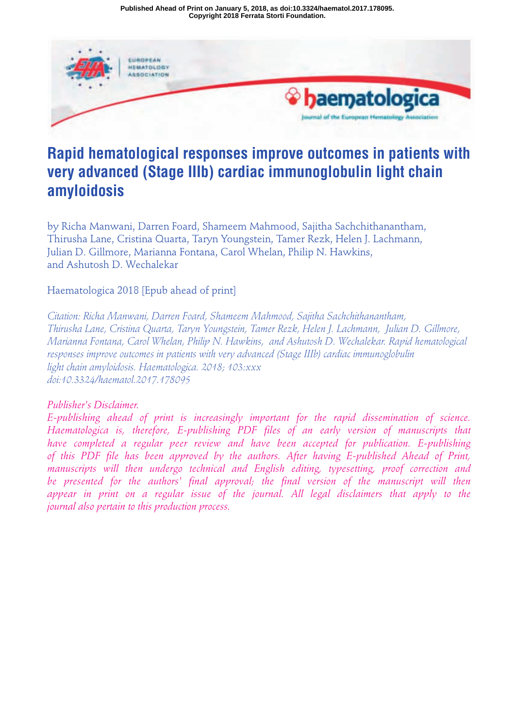**Copyright 2018 Ferrata Storti Foundation. Published Ahead of Print on January 5, 2018, as doi:10.3324/haematol.2017.178095.**



# **Rapid hematological responses improve outcomes in patients with very advanced (Stage IIIb) cardiac immunoglobulin light chain amyloidosis**

by Richa Manwani, Darren Foard, Shameem Mahmood, Sajitha Sachchithanantham, Thirusha Lane, Cristina Quarta, Taryn Youngstein, Tamer Rezk, Helen J. Lachmann, Julian D. Gillmore, Marianna Fontana, Carol Whelan, Philip N. Hawkins, and Ashutosh D. Wechalekar

Haematologica 2018 [Epub ahead of print]

*Citation: Richa Manwani, Darren Foard, Shameem Mahmood, Sajitha Sachchithanantham, Thirusha Lane, Cristina Quarta, Taryn Youngstein, Tamer Rezk, Helen J. Lachmann, Julian D. Gillmore, Marianna Fontana, Carol Whelan, Philip N. Hawkins, and Ashutosh D. Wechalekar. Rapid hematological responses improve outcomes in patients with very advanced (Stage IIIb) cardiac immunoglobulin light chain amyloidosis. Haematologica. 2018; 103:xxx doi:10.3324/haematol.2017.178095*

## *Publisher's Disclaimer.*

*E-publishing ahead of print is increasingly important for the rapid dissemination of science. Haematologica is, therefore, E-publishing PDF files of an early version of manuscripts that have completed a regular peer review and have been accepted for publication. E-publishing of this PDF file has been approved by the authors. After having E-published Ahead of Print, manuscripts will then undergo technical and English editing, typesetting, proof correction and be presented for the authors' final approval; the final version of the manuscript will then appear in print on a regular issue of the journal. All legal disclaimers that apply to the journal also pertain to this production process.*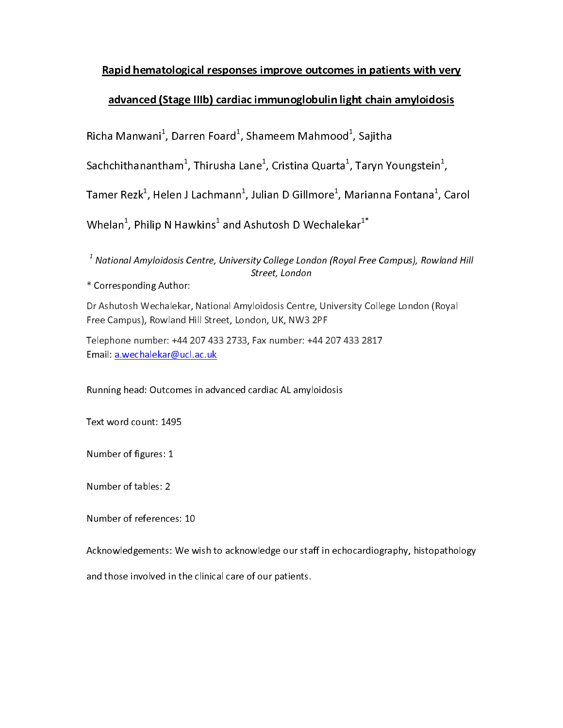## Rapid hematological responses improve outcomes in patients with very

## advanced (Stage IIIb) cardiac immunoglobulin light chain amyloidosis

Richa Manwani", Darren Foard", Shameem Mahmood", Sajitha<br>.

Sachchithanantham", Thirusha Lane", Cristina Quarta", Taryn Youngstein",

Tamer Rezkf, Helen J Lachmannf, Julian D Gillmoref, Marianna Fontanaf, Carol

Whelan", Philip N Hawkins" and Ashutosh D Wechalekar"

1 National Amyloidosis Centre, University College London (Royal Free Campus), Rowland Hill Street, London

\* Corresponding Author:<br>Dr Ashutosh Wechalekar, National Amyloidosis Centre, University College London (Royal<br>Free Campus), Rowland Hill Street, London, UK, NW3 2PF Dr Ashutosh Wechalema, Ashutosh Amyloidosis Centre, Ormeton, Osanga London (Royal<br>Free Campus), Rowland Hill Street, London, UK, NW3 2PF<br>Telephone number: +44 207 433 2733, Fax number: +44 207 433 2817

Free Campus), Romana Hill Street, London, 2011<br>Telephone number: +44 207 433 2733, Fax number: +44 2<br>Email: a.wechalekar@ucl.ac.uk Email: a.wechalekar@ucl.ac.uk

### Running head: Outcomes in advanced cardiac AL amyloidosis

Running head: Outcomes in advanced cardiac AL amyloidosis<br>Text word count: 1495

Number of figures: 1

Number of tables: 2

Number of references: 10

Acknowledgements: We wish to acknowledge our staff in echocardiography, histopathology

and those involved in the clinical care of our patients. and those involved in the clinical care of our patients.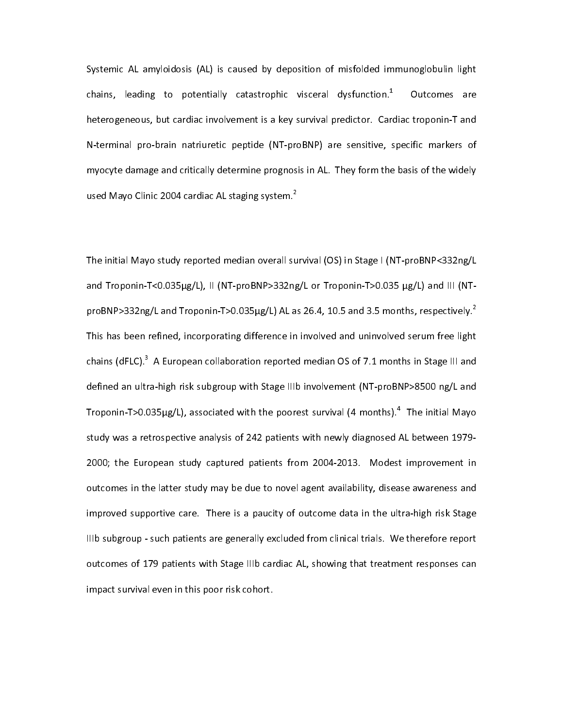Systemic AL amyloidosis (AL) is caused by deposition of misfolded immunoglobulin light<br>chains, leading to potentially catastrophic visceral dysfunction.<sup>1</sup> Outcomes are chains, leading to potentially catastrophic visceral dystunction.\* Outcomes are<br>heterogeneous, but cardiac involvement is a key survival predictor. Cardiac troponin-T and N-terminal pro-brain natriuretic peptide (NT-proBNP) are sensitive, specific markers of myocyte damage and critically determine prognosis in AL. They form the basis of the widely my order than  $\frac{1}{2}$  in AL. Theorem is the basis of the widely set of the widely speed Mayo Clinic 2004 cardiac AL staging system.<sup>2</sup> used Mayo Clinic 2004 cardiac AL staging system.<sup>2</sup><br>2004 cardiac AL staging system.<sup>2</sup><br>2004 cardiac AL staging system.

 The initial Mayo study reported median overall survival (OS) in Stage I (NT-proBNP<332ng/L<br>and Troponin-T<0.035µg/L), II (NT-proBNP>332ng/L or Troponin-T>0.035 µg/L) and III (NTproBNP>332ng/L and Troponin-T>0.035µg/L) AL as 26.4, 10.5 and 3.5 months, respectively.<sup>2</sup> This has been refined, incorporating difference in involved and uninvolved serum free light chains (dFLC).<sup>3</sup> A European collaboration reported median OS of 7.1 months in Stage III and chains (dFLC). A European collaboration reported median OS of 7.1 months in Stage III and<br>defined an ultra-high risk subgroup with Stage IIIb involvement (NT-proBNP>8500 ng/L and Troponin-T>0.035ug/L), associated with the poorest survival (4 months).<sup>4</sup> The initial Mayo Troponin-T>0.035μg/L), associated with the poorest survival (4 months). The initial Mayo<br>study was a retrospective analysis of 242 patients with newly diagnosed AL between 1979-<br>. 2000; the European study captured patients from 2004-2013. Modest improvement in outcomes in the latter study may be due to novel agent availability, disease awareness and improved supportive care. There is a paucity of outcome data in the ultra-high risk Stage IIIb subgroup - such patients are generally excluded from clinical trials. We therefore report outcomes of 179 patients with Stage IIIb cardiac AL, showing that treatment responses can impact survival even in this poor risk cohort. impact survival even in this poor risk cohort.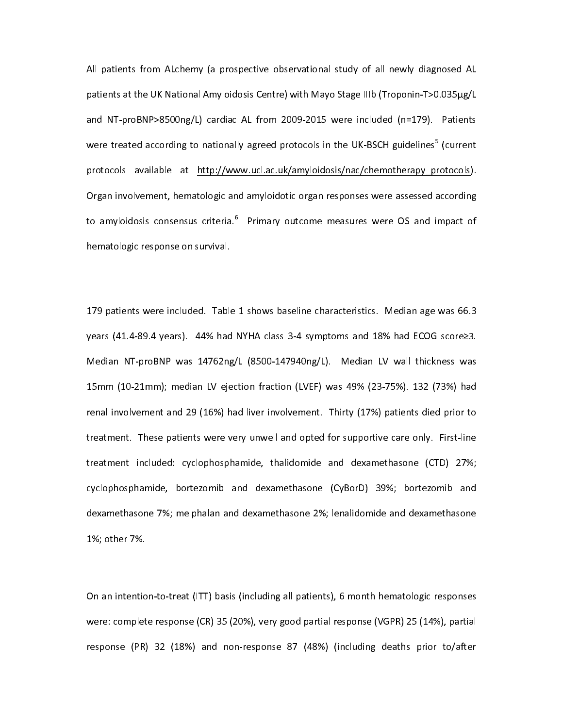All patients from ALchemy (a prospective observational study of all newly diagnosed AL<br>patients at the UK National Amyloidosis Centre) with Mayo Stage IIIb (Troponin-T>0.035µg/L and NT-proBNP>8500ng/L) cardiac AL from 2009-2015 were included (n=179). Patients were treated according to nationally agreed protocols in the UK-BSCH guidelines<sup>5</sup> (current were treated according to nationally agreed protocols in the UK-BSCH guidelines' (current<br>protocols available at <u>http://www.ucl.ac.uk/amyloidosis/nac/chemotherapy protocols</u>). Organ involvement, hematologic and amyloidotic organ responses were assessed according to amyloidosis consensus criteria.<sup>6</sup> Primary outcome measures were OS and impact of hematologic response on survival. Primary outcome measures were OS and impact of hematologic response on survival.

 $\ddot{\phantom{0}}$ 179 patients were included. Table 1 shows baseline characteristics. Median age was 66.3<br>years (41.4-89.4 years). 44% had NYHA class 3-4 symptoms and 18% had ECOG score≥3. Median NT-proBNP was 14762ng/L (8500-147940ng/L). Median LV wall thickness was 15mm (10-21mm); median LV ejection fraction (LVEF) was 49% (23-75%). 132 (73%) had renal involvement and 29 (16%) had liver involvement. Thirty (17%) patients died prior to treatment. These patients were very unwell and opted for supportive care only. First-line treatment included: cyclophosphamide, thalidomide and dexamethasone (CTD) 27%; cyclophosphamide, bortezomib and dexamethasone (CyBorD) 39%; bortezomib and dexamethasone 7%; melphalan and dexamethasone 2%; lenalidomide and dexamethasone dexamethasone 7%; melan and dexamethas  $\frac{1}{2}$  is the 2%; other 7%; lengthas one 2%; lengthas one 2%; lengthas one 2%; lengthas one 2%; lengthas one 2%; lengthas one 2%; lengthas one 2%; lengthas one 2%; lengthas one 2% 1%; other 7%.

 $\ddot{\phantom{0}}$ On an intention-to-treat (ITT) basis (including all patients), 6 month hematologic responses<br>were: complete response (CR) 35 (20%), very good partial response (VGPR) 25 (14%), partial response (PR) 32 (18%) and non-response 87 (48%) (including deaths prior to/after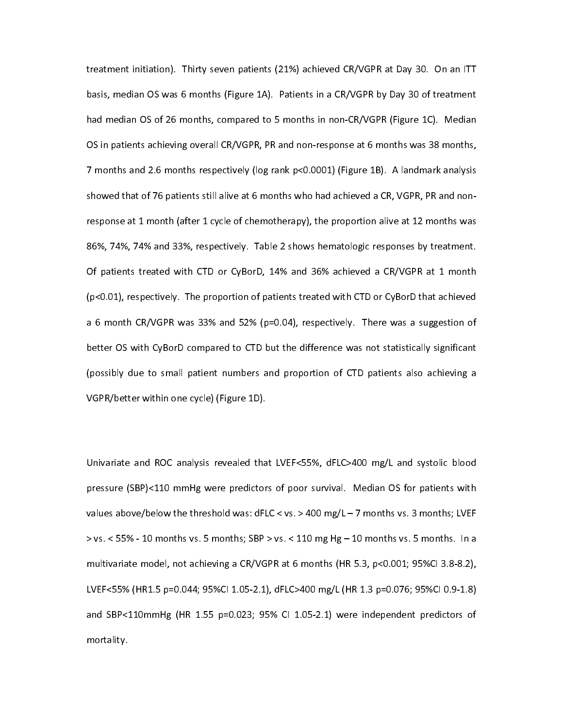treatment initiation). Thirty seven patients (21%) achieved CR/VGPR at Day 30. On an ITT<br>basis, median OS was 6 months (Figure 1A). Patients in a CR/VGPR by Day 30 of treatment had median OS of 26 months, compared to 5 months in non-CR/VGPR (Figure 1C). Median OS in patients achieving overall CR/VGPR, PR and non-response at 6 months was 38 months, 7 months and 2.6 months respectively (log rank p<0.0001) (Figure 1B). A landmark analysis showed that of 76 patients still alive at 6 months who had achieved a CR, VGPR, PR and nonshowed that of 76 patients still alive at 6 months who had achieved a CR, VGPR, PR and non-------------------response at 1 month (after 1 cycle of chemotherapy), the proportion alive at 12 months was<br>86%, 74%, 74% and 33%, respectively. Table 2 shows hematologic responses by treatment. Of patients treated with CTD or CyBorD, 14% and 36% achieved a CR/VGPR at 1 month  $(p< 0.01)$ , respectively. The proportion of patients treated with CTD or CyBorD that achieved a 6 month CR/VGPR was 33% and 52% (p=0.04), respectively. There was a suggestion of better OS with CyBorD compared to CTD but the difference was not statistically significant (possibly due to small patient numbers and proportion of CTD patients also achieving a VGPR/better within one cycle) (Figure 1D).  $V_{\rm eff}$  and  $V_{\rm eff}$  (Figure 1D).

 $\overline{a}$ Univariate and ROC analysis revealed that LVEF<55%, dFLC>400 mg/L and systolic blood values above/below the threshold was: dFLC < vs. > 400 mg/L  $-$  7 months vs. 3 months; LVEF  $>$  vs.  $<$  55% - 10 months vs. 5 months; SBP  $>$  vs.  $<$  110 mg Hg – 10 months vs. 5 months. In a multivariate model, not achieving a CR/VGPR at 6 months (HR 5.3, p<0.001; 95%Cl 3.8-8.2), LVEF<55% (HR1.5 p=0.044; 95%CI 1.05-2.1), dFLC>400 mg/L (HR 1.3 p=0.076; 95%CI 0.9-1.8) and SBP<110mmHg (HR 1.55 p=0.023; 95% CI 1.05-2.1) were independent predictors of and SBP (HR 1.55 pm) control in the prediction of the prediction of the prediction of the prediction of the prediction of the prediction of the prediction of the prediction of the prediction of the prediction of the predic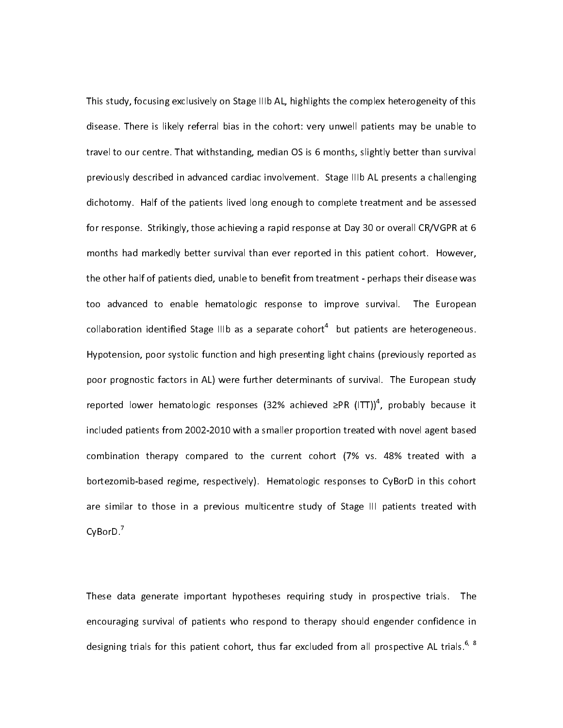This study, focusing exclusively on Stage IIIb AL, highlights the complex heterogeneity of this<br>disease. There is likely referral bias in the cohort: very unwell patients may be unable to travel to our centre. That withstanding, median OS is 6 months, slightly better than survival previously described in advanced cardiac involvement. Stage IIIb AL presents a challenging dichotomy. Half of the patients lived long enough to complete treatment and be assessed for response. Strikingly, those achieving a rapid response at Day 30 or overall CR/VGPR at 6 months had markedly better survival than ever reported in this patient cohort. However, the other half of patients died, unable to benefit from treatment - perhaps their disease was too advanced to enable hematologic response to improve survival. The European collaboration identified Stage IIIb as a separate cohort<sup>4</sup> but patients are heterogeneous. collaboration identified Stage IIIb as a separate cohort<sup>+</sup> but patients are heterogeneous.<br>Hypotension, poor systolic function and high presenting light chains (previously reported as poor prognostic factors in AL) were further determinants of survival. The European study reported lower hematologic responses (32% achieved  $\geq$ PR (ITT))<sup>4</sup>, probably because it reported lower hematologic responses (32% achieved ≥PR (ITT))", probably because it<br>included patients from 2002-2010 with a smaller proportion treated with novel agent based<br>. combination therapy compared to the current cohort (7% vs. 48% treated with a bortezomib-based regime, respectively). Hematologic responses to CyBorD in this cohort are similar to those in a previous multicentre study of Stage III patients treated with are similar to those in a previous multicentre study of Stage III patients treated with<br>CyBorD.<sup>7</sup>  $CvB$ or $D.^7$ 

 $\overline{1}$ These data generate important hypotheses requiring study in prospective trials. The<br>encouraging survival of patients who respond to therapy should engender confidence in encouraging of patient of patient confidence in the patient of patient confidence in the section of prospective AL trials.<sup>6, 8</sup> designing trials for this patient cohort, thus far excluded from all prospective AL trials.<sup>6</sup> designing trials for this patient cohort, thus far excluded from all prospective AL trials.  $\degree$ <br>designing trials for this patient cohort, thus far excluded from all prospective AL trials.  $\degree$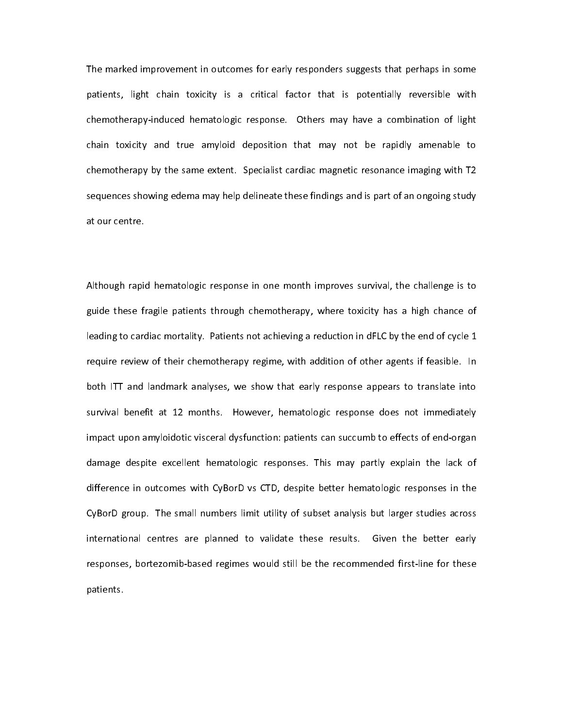The marked improvement in outcomes for early responders suggests that perhaps in some<br>patients, light chain toxicity is a critical factor that is potentially reversible with chemotherapy-induced hematologic response. Others may have a combination of light chain toxicity and true amyloid deposition that may not be rapidly amenable to chemotherapy by the same extent. Specialist cardiac magnetic resonance imaging with T2 sequences showing edema may help delineate these findings and is part of an ongoing study sequences show that is part of an ongoing  $\frac{1}{2}$  finding and is part of an ongoing study study study study study study study study study study study study study study study study study study study study study study stu

 $\overline{a}$ Although rapid hematologic response in one month improves survival, the challenge is to<br>guide these fragile patients through chemotherapy, where toxicity has a high chance of leading to cardiac mortality. Patients not achieving a reduction in dFLC by the end of cycle  $1$ require review of their chemotherapy regime, with addition of other agents if feasible. In both ITT and landmark analyses, we show that early response appears to translate into survival benefit at 12 months. However, hematologic response does not immediately impact upon amyloidotic visceral dysfunction: patients can succumb to effects of end-organ damage despite excellent hematologic responses. This may partly explain the lack of difference in outcomes with CyBorD vs CTD, despite better hematologic responses in the CyBorD group. The small numbers limit utility of subset analysis but larger studies across international centres are planned to validate these results. Given the better early responses, bortezomib-based regimes would still be the recommended first-line for these responses, bortezomib-based regimes would still be the recommended first-line for these patients.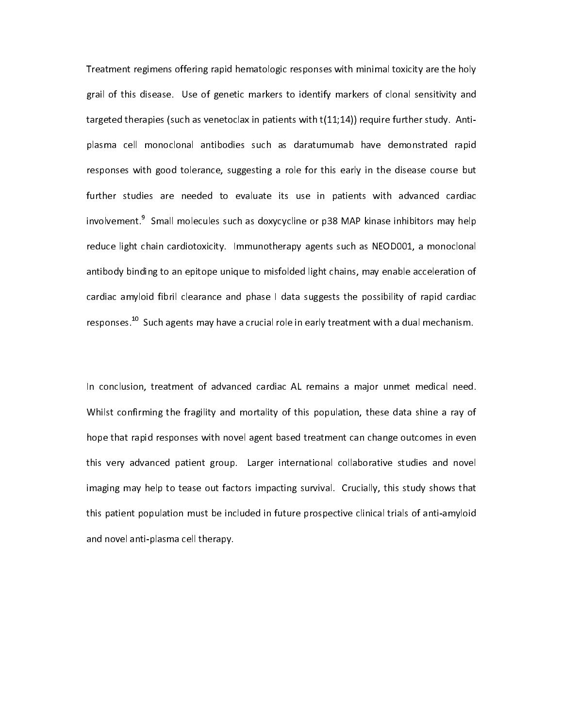Treatment regimens offering rapid hematologic responses with minimal toxicity are the holy<br>grail of this disease. Use of genetic markers to identify markers of clonal sensitivity and targeted therapies (such as venetoclax in patients with  $t(11,14)$ ) require further study. Antitargeted therapies (such as venetoclax in patients with t(11;14)) require further study. Antiplasma cell monoclonal antibodies such as daratumumab have demonstrated rapid<br>responses with good tolerance, suggesting a role for this early in the disease course but further studies are needed to evaluate its use in patients with advanced cardiac involvement.<sup>9</sup> Small molecules such as doxycycline or  $p38$  MAP kinase inhibitors may help involvement.~ Small molecules such as doxycycline or p38 MAP kinase inhibitors may help<br>reduce light chain cardiotoxicity. Immunotherapy agents such as NEOD001, a monoclonal antibody binding to an epitope unique to misfolded light chains, may enable acceleration of cardiac amyloid fibril clearance and phase I data suggests the possibility of rapid cardiac cardiac fibril clearance and phase in the phase of the phase in the possibility of responses. <sup>10</sup> Such agents may have a crucial role in early treatment with a dual mechanism. responses.  $\sim$  Such agents may have a crucial role in early treatment with a dual mechanism.<br>.

 $\overline{1}$ In conclusion, treatment of advanced cardiac AL remains a major unmet medical need.<br>Whilst confirming the fragility and mortality of this population, these data shine a ray of hope that rapid responses with novel agent based treatment can change outcomes in even this very advanced patient group. Larger international collaborative studies and novel imaging may help to tease out factors impacting survival. Crucially, this study shows that this patient population must be included in future prospective clinical trials of anti-amyloid the included included in future population must be included in function  $\mathcal{L}$  is and novel anti-plasma cell therapy. and novel and novel therapy.<br>Therapy. Therapy. Therapy. Therapy. Therapy. Therapy. Therapy. Therapy. Therapy. Therapy. Therapy. Therapy. The<br>Therapy. Therapy. Therapy. Therapy. Therapy. Therapy. Therapy. Therapy. Therapy.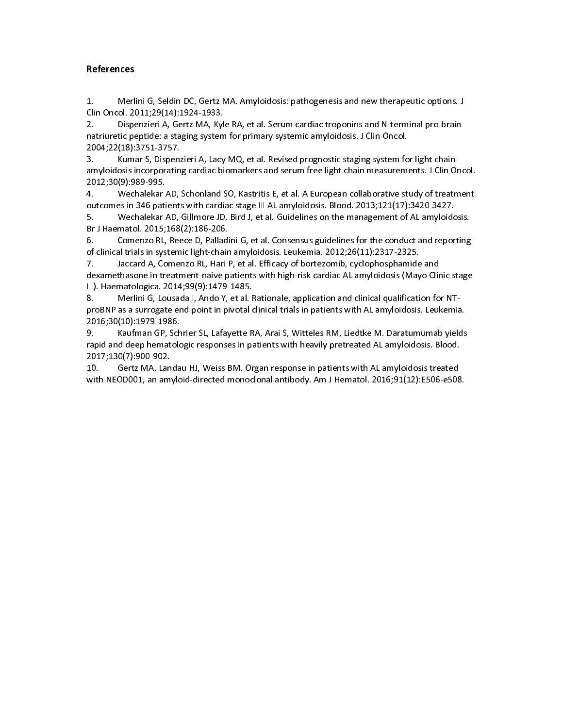#### **References**

2. Clin Oncol. 2011;29(14):1924-1933.<br>2. Dispenzieri A, Gertz MA, Kyle RA, et al. Serum cardiac troponins and N-terminal pro-brain<br>natriuretic peptide: a staging system for primary systemic amyloidosis. J Clin Oncol.<br>2004; 2. Dispenzieri A, Gertz MA, Kyl<br>natriuretic peptide: a staging system<br>2004;22(18):3751-3757.<br>3. Kumar S, Dispenzieri A, Lacy<br>amyloidosis incorporating cardiac bi<br>2012;30(9):989-995.

natriuretic peptide: a staging system for primary systemic amyloidosis. J Clin Oncol.<br>2004;22(18):3751-3757.<br>3. Kumar S, Dispenzieri A, Lacy MQ, et al. Revised prognostic staging system for light chain<br>amyloidosis incorpor 2004;22(18):3751-3757.<br>
1. Kumar S, Dispenzieri A, Lacy MQ, et al. Revised prognostic staging system for amyloidosis incorporating cardiac biomarkers and serum free light chain measurement<br>
2012;30(9):989-995.<br>
4. Wechalek 2004; Humar S, Dispensian<br>
2012;30(9):989-995.<br>
4. Mechalekar AD, outcomes in 346 patient:<br>
5. Mechalekar AD, patient:<br>
5. Mechalekar AD, patient: amyloidosis incorporating cardiac biomarkers and serum free light chain measurements. J Clin O<br>2012;30(9):989-995.<br>4. Wechalekar AD, Schonland SO, Kastritis E, et al. A European collaborative study of treatn<br>outcomes in 34

amyloidosis incorporation of the server and server and server and server and server and server and the server a<br>4. Wechalekar AD, Schonland SO, Kastritis E, et al. A European collaborative study of treatment<br>outcomes in 34 2012;30(9):989-995.<br>
4. Wechalekar AD, Schonland SO, Kastritis E, et al. A European collaborative study of treatment<br>
outcomes in 346 patients with cardiac stage III AL amyloidosis. Blood. 2013;121(17):3420-3427.<br>
5. Wecha

outcomes in 346 patients with cardiac stage III AL amyloidosis. Blood. 2013;121(17):3420-3427.<br>
5. Wechalekar AD, Gillmore JD, Bird J, et al. Guidelines on the management of AL amyloidosis.<br>
Br J Haematol. 2015;168(2):186-

S. Wechalekar AD, Gillmore JD, Bird J, et al. Guidelines on the management of AL amyloidc<br>Br J Haematol. 2015;168(2):186-206.<br>6. Comenzo RL, Reece D, Palladini G, et al. Consensus guidelines for the conduct and repor<br>of cl Br J Haematol. 2015;168(2):186-206.<br>6. Comenzo RL, Reece D, Palladini G, et al. Consensus guidelines for the conduct and reporting<br>of clinical trials in systemic light-chain amyloidosis. Leukemia. 2012;26(11):2317-2325.<br>7. 6. Comenzo RL, Reece D, Palladi<br>of clinical trials in systemic light-chain<br>7. Jaccard A, Comenzo RL, Hari I<br>dexamethasone in treatment-naive p<br>III). Haematologica. 2014;99(9):1479-<br>8. Merlini G, Lousada I, Ando Y, of clinical trials in systemic light-chain amyloidosis. Leukemia. 2012;26(11):2317-2325.<br>7. Jaccard A, Comenzo RL, Hari P, et al. Efficacy of bortezomib, cyclophosphamide and<br>dexamethasone in treatment-naive patients with

of clinical trials in systems in the clinical trials in particle is a clinical trial dexamethasone in treatment-naive patients with high-risk cardiac AL amyloidosis (May<br>III). Haematologica. 2014;99(9):1479-1485.<br>8. Merlin dexamethasone in treatment-naive patients with high-risk cardiac AL amyloidosis (Mayo Clir<br>
III). Haematologica. 2014;99(9):1479-1485.<br>
8. Merlini G, Lousada I, Ando Y, et al. Rationale, application and clinical qualificat 111). Haematologica. 2014;99(9):1479-1485.<br>8. Merlini G, Lousada I, Ando Y, et al. Rationale, application and clinical qualification for NT-<br>proBNP as a surrogate end point in pivotal clinical trials in patients wi 8. Merlini G, Lousada I, Ando Y, et al. F<br>proBNP as a surrogate end point in pivotal c<br>2016;30(10):1979-1986.<br>9. Kaufman GP, Schrier SL, Lafayette R<br>rapid and deep hematologic responses in pa<br>2017;130(7):900-902.

probate the probability probate end point in pinality in probability and point in patients with sa surround by<br>P. Star Kaufman GP, Schrier SL, Lafayette RA, Arai S, Witteles RM, Liedtke M. Daratumumab yields<br>rapid and deep 2016;30(10):1979-1986. rapid and deep hematologic responses in patients with heavily pretreated AL amyloidosis. Blood.<br>2017;130(7):900-902.<br>10. Gertz MA, Landau HJ, Weiss BM. Organ response in patients with AL amyloidosis treated<br>with NEOD001, a

8. Merchini, Louis and VII, Weiss DM. Organization and clinical quality and clinical contraction for NTrapid 2017;130(7):900-902.<br>2017;130(7):900-902.<br>10. Gertz MA, Landau HJ, Weiss BM. Organ response in patients with AL amyloidosis treated<br>with NEOD001, an amyloid-directed monoclonal antibody. Am J Hematol. 2016;91(12):E50 2020;<br>10. Gertz MA, Lan<br>with NEOD001, an am with NEOD001, an amyloid-directed monoclonal antibody. Am J Hematol. 2016;91(12):E506-e508<br>in patients with Al Amyloidositreated monoclonal antibody. Am<br>dematol. 2016;91(12):E506-e508<br> $\pm$ with NEODO)<br>- Amyloid-directed monoclonal and antibody. Am J Hematol. 2016;<br>- Am J Hematol. 2016;91(12):E506-e508. Am J Hematol. 2016;91(12):E506-e508. Am J Hematol. 2016;91(12):E506-e50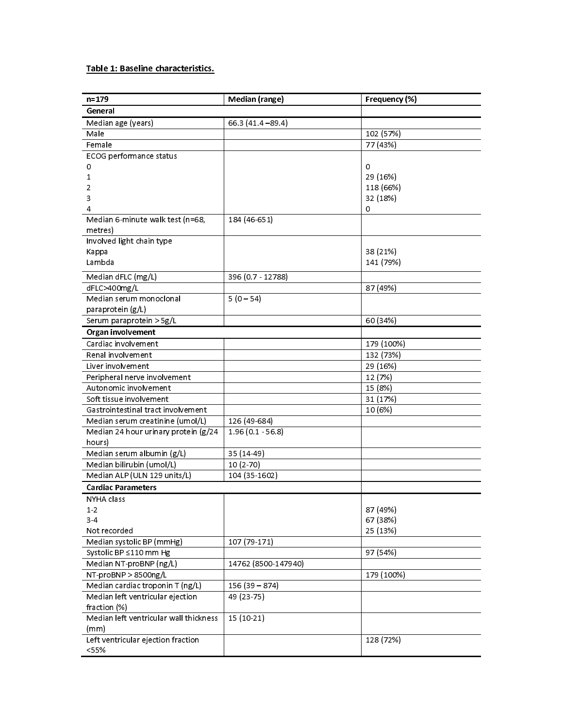#### Table 1: Baseline characteristics.

| $n = 179$                                        | Median (range)      | Frequency (%) |
|--------------------------------------------------|---------------------|---------------|
| General                                          |                     |               |
| Median age (years)                               | $66.3(41.4 - 89.4)$ |               |
| Male                                             |                     | 102 (57%)     |
| Female                                           |                     | 77 (43%)      |
| ECOG performance status                          |                     |               |
| 0                                                |                     | 0             |
| 1                                                |                     | 29 (16%)      |
| 2                                                |                     | 118 (66%)     |
| 3                                                |                     | 32 (18%)      |
| 4                                                |                     | 0             |
| Median 6-minute walk test (n=68,<br>metres)      | 184 (46-651)        |               |
| Involved light chain type                        |                     |               |
| Kappa                                            |                     | 38 (21%)      |
| Lambda                                           |                     | 141 (79%)     |
| Median dFLC (mg/L)                               | 396 (0.7 - 12788)   |               |
| dFLC>400mg/L                                     |                     | 87 (49%)      |
| Median serum monoclonal                          | $5(0-54)$           |               |
| paraprotein (g/L)                                |                     |               |
| Serum paraprotein > 5g/L                         |                     | 60 (34%)      |
| Organ involvement                                |                     |               |
| Cardiac involvement                              |                     | 179 (100%)    |
| Renal involvement                                |                     | 132 (73%)     |
| Liver involvement                                |                     | 29 (16%)      |
| Peripheral nerve involvement                     |                     | 12 (7%)       |
| Autonomic involvement                            |                     | 15 (8%)       |
| Soft tissue involvement                          |                     | 31 (17%)      |
| Gastrointestinal tract involvement               |                     | 10 (6%)       |
| Median serum creatinine (umol/L)                 | 126 (49-684)        |               |
| Median 24 hour urinary protein (g/24             | $1.96(0.1 - 56.8)$  |               |
| hours)                                           |                     |               |
| Median serum albumin (g/L)                       | 35 (14-49)          |               |
| Median bilirubin (umol/L)                        | $10(2-70)$          |               |
| Median ALP (ULN 129 units/L)                     | 104 (35-1602)       |               |
| <b>Cardiac Parameters</b>                        |                     |               |
| NYHA class                                       |                     |               |
| $1-2$                                            |                     | 87 (49%)      |
| $3-4$                                            |                     | 67 (38%)      |
| Not recorded                                     |                     | 25 (13%)      |
| Median systolic BP (mmHg)                        | 107 (79-171)        |               |
| Systolic BP ≤110 mm Hg                           |                     | 97 (54%)      |
| Median NT-proBNP (ng/L)                          | 14762 (8500-147940) |               |
| NT-proBNP > 8500ng/L                             |                     | 179 (100%)    |
| Median cardiac troponin T (ng/L)                 | $156(39 - 874)$     |               |
| Median left ventricular ejection<br>fraction (%) | 49 (23 - 75)        |               |
| Median left ventricular wall thickness<br>(mm)   | 15 (10-21)          |               |
| Left ventricular ejection fraction<br>< 55%      |                     | 128 (72%)     |
|                                                  |                     |               |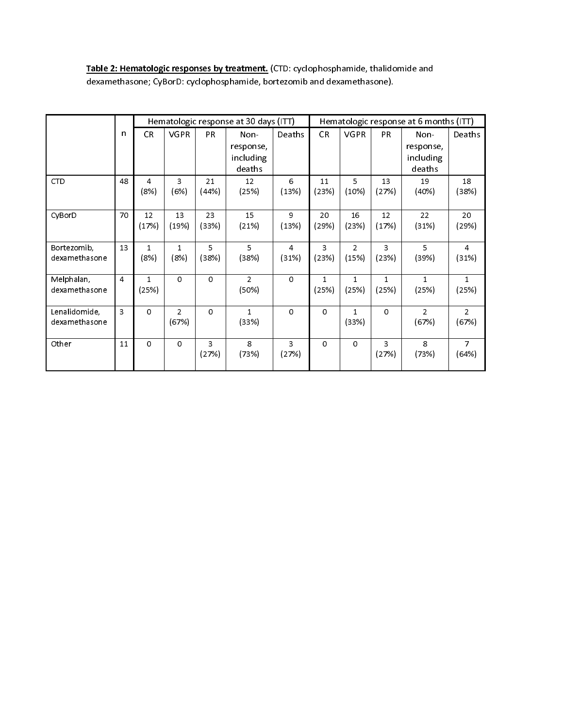Table 2: Hematologic responses by treatment. (CTD: cyclophosphamide, thalidomide and dexamethasone; CyBorD: cyclophosphamide, bortezomib and dexamethasone).

|                                |                | Hematologic response at 30 days (ITT) |                         |             |                                          | Hematologic response at 6 months (ITT) |                       |                         |                       |                                          |                         |
|--------------------------------|----------------|---------------------------------------|-------------------------|-------------|------------------------------------------|----------------------------------------|-----------------------|-------------------------|-----------------------|------------------------------------------|-------------------------|
|                                | $\mathsf{n}$   | <b>CR</b>                             | <b>VGPR</b>             | <b>PR</b>   | Non-<br>response,<br>including<br>deaths | Deaths                                 | CR                    | <b>VGPR</b>             | <b>PR</b>             | Non-<br>response,<br>including<br>deaths | Deaths                  |
| <b>CTD</b>                     | 48             | $\overline{4}$<br>(8%)                | 3<br>(6%)               | 21<br>(44%) | 12<br>(25%)                              | 6<br>(13%)                             | 11<br>(23%)           | 5<br>(10%)              | 13<br>(27%)           | 19<br>(40%)                              | 18<br>(38%)             |
| CyBorD                         | 70             | 12<br>(17%)                           | 13<br>(19%)             | 23<br>(33%) | 15<br>(21%)                              | 9<br>(13%)                             | 20<br>(29%)           | 16<br>(23%)             | 12<br>(17%)           | 22<br>(31%)                              | 20<br>(29%)             |
| Bortezomib,<br>dexamethasone   | 13             | $\mathbf{1}$<br>(8%)                  | $\mathbf{1}$<br>(8%)    | 5<br>(38%)  | 5<br>(38%)                               | $\overline{4}$<br>(31%)                | 3<br>(23%)            | $\overline{2}$<br>(15%) | 3<br>(23%)            | 5<br>(39%)                               | $\overline{4}$<br>(31%) |
| Melphalan,<br>dexamethasone    | $\overline{4}$ | $\mathbf{1}$<br>(25%)                 | $\mathbf 0$             | $\circ$     | $\overline{2}$<br>(50%)                  | $\circ$                                | $\mathbf{1}$<br>(25%) | $\mathbf{1}$<br>(25%)   | $\mathbf{1}$<br>(25%) | $\mathbf{1}$<br>(25%)                    | $\mathbf{1}$<br>(25%)   |
| Lenalidomide,<br>dexamethasone | $\overline{3}$ | $\mathsf{O}\xspace$                   | $\overline{2}$<br>(67%) | $\Omega$    | $\mathbf{1}$<br>(33%)                    | $\circ$                                | $\circ$               | $\mathbf{1}$<br>(33%)   | $\Omega$              | $\overline{2}$<br>(67%)                  | $\overline{2}$<br>(67%) |
| Other                          | 11             | 0                                     | $\circ$                 | 3<br>(27%)  | 8<br>(73%)                               | $\overline{3}$<br>(27%)                | $\circ$               | $\Omega$                | 3<br>(27%)            | 8<br>(73%)                               | $\overline{7}$<br>(64%) |
|                                |                |                                       |                         |             |                                          |                                        |                       |                         |                       |                                          |                         |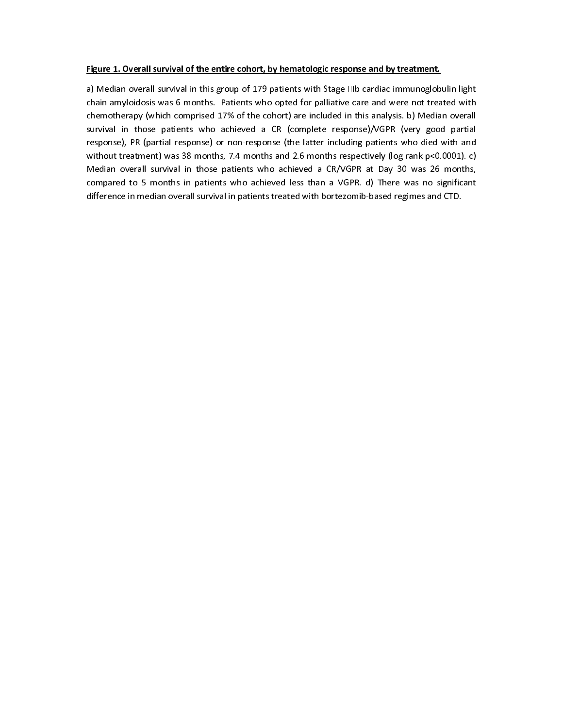#### Figure 1. Overall survival of the entire cohort, by hematologic response and by treatment.

a) Median overall survival in this group of 179 patients with Stage IIIb cardiac immunoglobulin light chain amyloidosis was 6 months. Patients who opted for palliative care and were not treated with chemotherapy (which co chemotherapy (which comprised 17% of the cohort) are included in this analysis. b) Median overall survival in those patients who achieved a CR (complete response)/VGPR (very good partial survival in these patients who achieved a CR (complete response), PR (partial response) or non-response (the latter including patients who died with and without treatment) was 38 months, 7.4 months and 2.6 months respectiv response), Propense (partial response) or non-response (the latter including patients with and an without treatment) was 38 months, 7.4 months and 2.6 months respectively (log rank p<0.0001). c)<br>Median overall survival in which treatment) was 38 months, 7.4 months and 2.4 months respectively (regioning treates).<br>Median overall survival in those patients who achieved less than a VGPR. d) There was no significant<br>difference in median overall Compared to 5 months in patients who achieved less than a VGPR. d) There was no significant<br>difference in median overall survival in patients treated with bortezomib-based regimes and CTD. difference in median overall survival in patients treated with bortezomib-based regimes and CTD. difference in median overall survival in patients treated with bortezomib-based regimes and CTD.